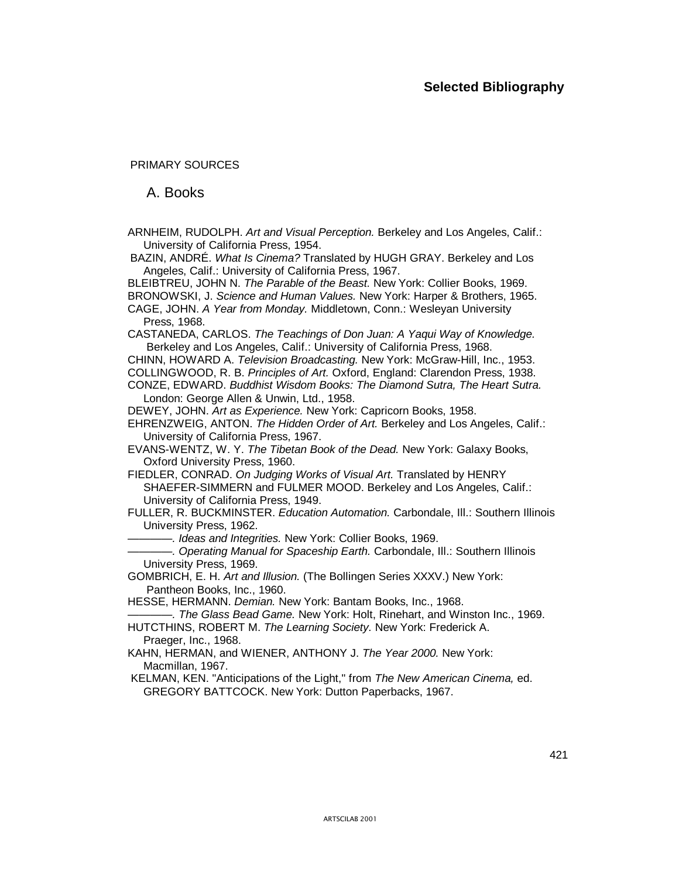PRIMARY SOURCES

A. Books

ARNHEIM, RUDOLPH. *Art and Visual Perception.* Berkeley and Los Angeles, Calif.: University of California Press, 1954.

BAZIN, ANDRÉ. *What Is Cinema?* Translated by HUGH GRAY. Berkeley and Los Angeles, Calif.: University of California Press, 1967.

BLEIBTREU, JOHN N. *The Parable of the Beast.* New York: Collier Books, 1969.

BRONOWSKI, J. *Science and Human Values.* New York: Harper & Brothers, 1965.

CAGE, JOHN. *A Year from Monday.* Middletown, Conn.: Wesleyan University Press, 1968.

CASTANEDA, CARLOS. *The Teachings of Don Juan: A Yaqui Way of Knowledge.*  Berkeley and Los Angeles, Calif.: University of California Press, 1968.

CHINN, HOWARD A. *Television Broadcasting.* New York: McGraw-Hill, Inc., 1953.

COLLINGWOOD, R. B. *Principles of Art.* Oxford, England: Clarendon Press, 1938.

CONZE, EDWARD. *Buddhist Wisdom Books: The Diamond Sutra, The Heart Sutra.*  London: George Allen & Unwin, Ltd., 1958.

DEWEY, JOHN. *Art as Experience.* New York: Capricorn Books, 1958.

EHRENZWEIG, ANTON. *The Hidden Order of Art.* Berkeley and Los Angeles, Calif.: University of California Press, 1967.

EVANS-WENTZ, W. Y. *The Tibetan Book of the Dead.* New York: Galaxy Books, Oxford University Press, 1960.

FIEDLER, CONRAD. *On Judging Works of Visual Art.* Translated by HENRY SHAEFER-SIMMERN and FULMER MOOD. Berkeley and Los Angeles, Calif.: University of California Press, 1949.

FULLER, R. BUCKMINSTER. *Education Automation.* Carbondale, Ill.: Southern Illinois University Press, 1962.

*———— . Ideas and Integrities.* New York: Collier Books, 1969.

*———— . Operating Manual for Spaceship Earth.* Carbondale, Ill.: Southern Illinois University Press, 1969.

GOMBRICH, E. H. *Art and Illusion.* (The Bollingen Series XXXV.) New York: Pantheon Books, Inc., 1960.

HESSE, HERMANN. *Demian.* New York: Bantam Books, Inc., 1968.

*———— . The Glass Bead Game.* New York: Holt, Rinehart, and Winston Inc., 1969.

HUTCTHINS, ROBERT M. *The Learning Society.* New York: Frederick A. Praeger, Inc., 1968.

KAHN, HERMAN, and WIENER, ANTHONY J. *The Year 2000.* New York: Macmillan, 1967.

KELMAN, KEN. "Anticipations of the Light," from *The New American Cinema,* ed. GREGORY BATTCOCK. New York: Dutton Paperbacks, 1967.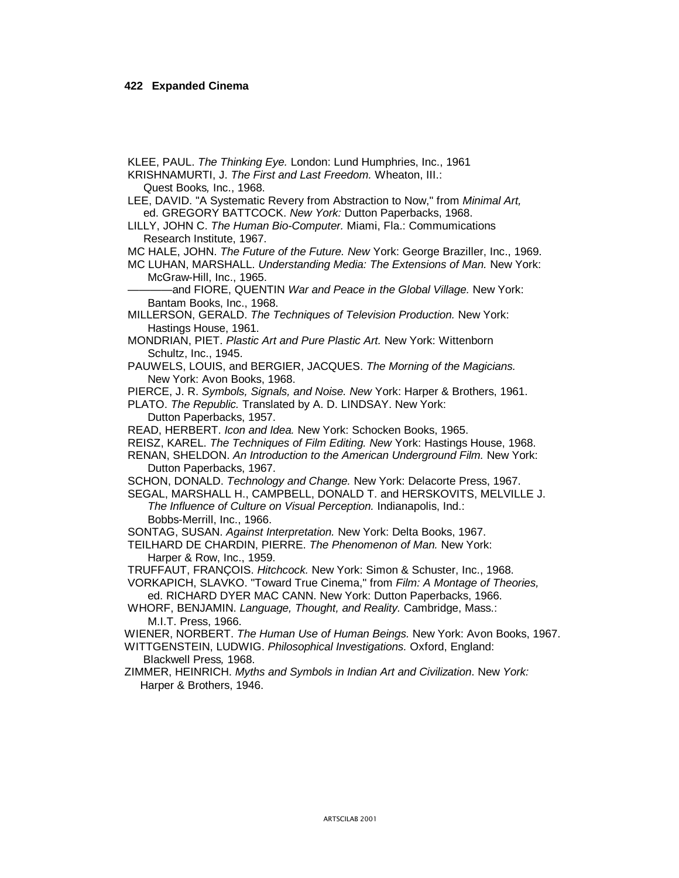KLEE, PAUL. The Thinking Eye. London: Lund Humphries, Inc., 1961

KRISHNAMURTI, J. The First and Last Freedom. Wheaton, III.: Quest Books, Inc., 1968.

LEE, DAVID. "A Systematic Revery from Abstraction to Now," from Minimal Art, ed. GREGORY BATTCOCK. New York: Dutton Paperbacks, 1968.

LILLY, JOHN C. The Human Bio-Computer. Miami, Fla.: Commumications Research Institute, 1967.

MC HALE, JOHN. The Future of the Future. New York: George Braziller, Inc., 1969.

MC LUHAN, MARSHALL. Understanding Media: The Extensions of Man. New York: McGraw-Hill, Inc., 1965.

and FIORE, QUENTIN War and Peace in the Global Village. New York: Bantam Books, Inc., 1968.

MILLERSON, GERALD. The Techniques of Television Production. New York: Hastings House, 1961.

MONDRIAN, PIET. Plastic Art and Pure Plastic Art. New York: Wittenborn Schultz, Inc., 1945.

PAUWELS, LOUIS, and BERGIER, JACQUES. The Morning of the Magicians. New York: Avon Books, 1968.

PIERCE, J. R. Symbols, Signals, and Noise, New York: Harper & Brothers, 1961.

PLATO. The Republic. Translated by A. D. LINDSAY. New York:

Dutton Paperbacks, 1957.

READ, HERBERT, Icon and Idea, New York: Schocken Books, 1965.

REISZ, KAREL. The Techniques of Film Editing. New York: Hastings House, 1968.

RENAN, SHELDON. An Introduction to the American Underground Film. New York: Dutton Paperbacks, 1967.

SCHON, DONALD. Technology and Change. New York: Delacorte Press, 1967.

SEGAL, MARSHALL H., CAMPBELL, DONALD T. and HERSKOVITS, MELVILLE J. The Influence of Culture on Visual Perception. Indianapolis, Ind.:

Bobbs-Merrill, Inc., 1966.

SONTAG, SUSAN. Against Interpretation. New York: Delta Books, 1967.

TEILHARD DE CHARDIN, PIERRE, The Phenomenon of Man, New York: Harper & Row, Inc., 1959.

TRUFFAUT, FRANCOIS. Hitchcock. New York: Simon & Schuster, Inc., 1968.

VORKAPICH, SLAVKO. "Toward True Cinema," from Film: A Montage of Theories, ed. RICHARD DYER MAC CANN. New York: Dutton Paperbacks, 1966.

WHORF, BENJAMIN. Language, Thought, and Reality. Cambridge, Mass.: M.I.T. Press, 1966.

WIENER, NORBERT. The Human Use of Human Beings. New York: Avon Books, 1967. WITTGENSTEIN, LUDWIG. Philosophical Investigations. Oxford, England: Blackwell Press, 1968.

ZIMMER, HEINRICH. Myths and Symbols in Indian Art and Civilization. New York: Harper & Brothers, 1946.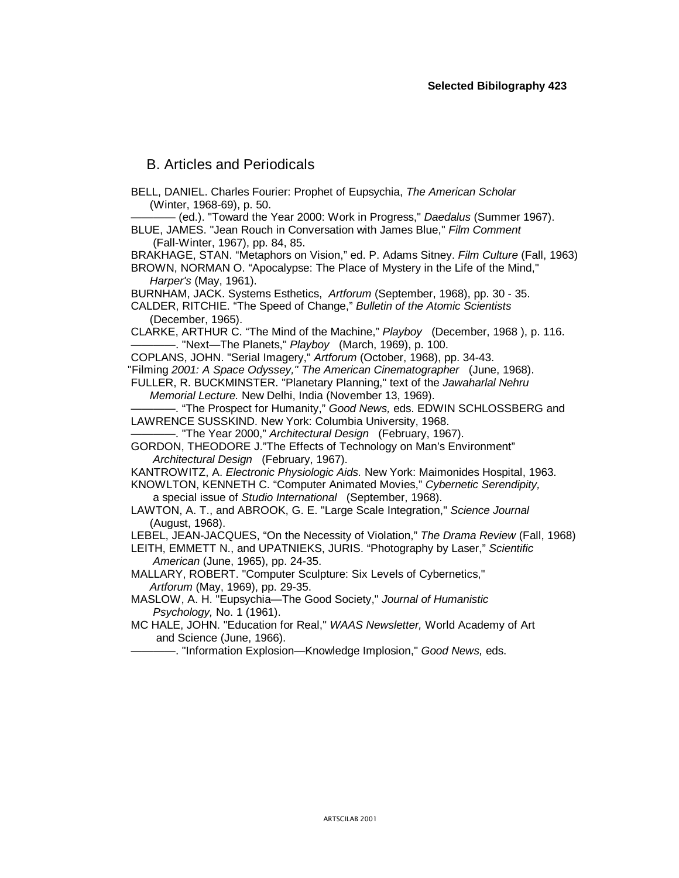# B. Articles and Periodicals

BELL, DANIEL. Charles Fourier: Prophet of Eupsychia, *The American Scholar* (Winter, 1968-69), p. 50.

———— (ed.). "Toward the Year 2000: Work in Progress," *Daedalus* (Summer 1967). BLUE, JAMES. "Jean Rouch in Conversation with James Blue," *Film Comment* (Fall-Winter, 1967), pp. 84, 85.

BRAKHAGE, STAN. "Metaphors on Vision," ed. P. Adams Sitney. *Film Culture* (Fall, 1963) BROWN, NORMAN O. "Apocalypse: The Place of Mystery in the Life of the Mind,"

*Harper's* (May, 1961).

BURNHAM, JACK. Systems Esthetics, *Artforum* (September, 1968), pp. 30 - 35.

CALDER, RITCHIE. "The Speed of Change," *Bulletin of the Atomic Scientists*  (December, 1965).

CLARKE, ARTHUR C. "The Mind of the Machine," *Playboy* (December, 1968 ), p. 116. ———— . "Next— The Planets," *Playboy* (March, 1969), p. 100.

COPLANS, JOHN. "Serial Imagery," *Artforum* (October, 1968), pp. 34-43.

"Filming *2001: A Space Odyssey," The American Cinematographer* (June, 1968).

FULLER, R. BUCKMINSTER. "Planetary Planning," text of the *Jawaharlal Nehru Memorial Lecture.* New Delhi, India (November 13, 1969).

———— . "The Prospect for Humanity," *Good News,* eds. EDWIN SCHLOSSBERG and LAWRENCE SUSSKIND. New York: Columbia University, 1968.

———— . "The Year 2000," *Architectural Design* (February, 1967).

GORDON, THEODORE J."The Effects of Technology on Man's Environment" *Architectural Design* (February, 1967).

KANTROWITZ, A. *Electronic Physiologic Aids.* New York: Maimonides Hospital, 1963.

KNOWLTON, KENNETH C. "Computer Animated Movies," *Cybernetic Serendipity,* a special issue of *Studio International* (September, 1968).

LAWTON, A. T., and ABROOK, G. E. "Large Scale Integration," *Science Journal* (August, 1968).

LEBEL, JEAN-JACQUES, "On the Necessity of Violation," *The Drama Review* (Fall, 1968)

LEITH, EMMETT N., and UPATNIEKS, JURIS. "Photography by Laser," *Scientific American* (June, 1965), pp. 24-35.

MALLARY, ROBERT. "Computer Sculpture: Six Levels of Cybernetics," *Artforum* (May, 1969), pp. 29-35.

MASLOW, A. H. "Eupsychia— The Good Society," *Journal of Humanistic Psychology,* No. 1 (1961).

MC HALE, JOHN. "Education for Real," *WAAS Newsletter,* World Academy of Art and Science (June, 1966).

———— . "Information Explosion— Knowledge Implosion," *Good News,* eds.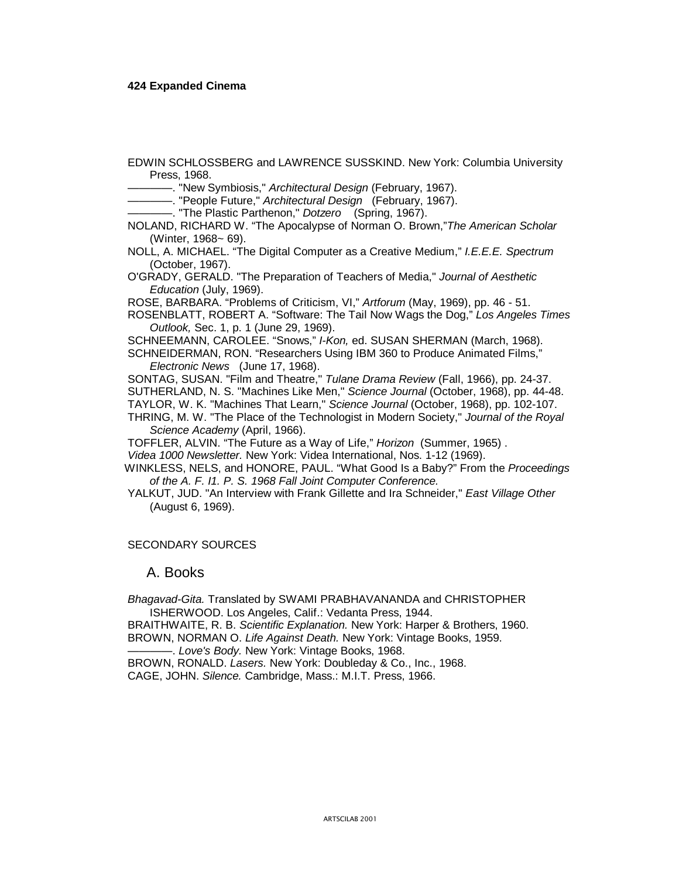#### **424 Expanded Cinema**

EDWIN SCHLOSSBERG and LAWRENCE SUSSKIND. New York: Columbia University Press, 1968.

———— . "New Symbiosis," *Architectural Design* (February, 1967).

———— . "People Future," *Architectural Design* (February, 1967).

———— . "The Plastic Parthenon," *Dotzero* (Spring, 1967).

NOLAND, RICHARD W. "The Apocalypse of Norman O. Brown,"*The American Scholar*  (Winter, 1968~ 69).

NOLL, A. MICHAEL. "The Digital Computer as a Creative Medium," *I.E.E.E. Spectrum*  (October, 1967).

O'GRADY, GERALD. "The Preparation of Teachers of Media," *Journal of Aesthetic Education* (July, 1969).

ROSE, BARBARA. "Problems of Criticism, VI," *Artforum* (May, 1969), pp. 46 - 51.

ROSENBLATT, ROBERT A. "Software: The Tail Now Wags the Dog," *Los Angeles Times Outlook,* Sec. 1, p. 1 (June 29, 1969).

SCHNEEMANN, CAROLEE. "Snows," *I-Kon,* ed. SUSAN SHERMAN (March, 1968).

SCHNEIDERMAN, RON. "Researchers Using IBM 360 to Produce Animated Films," *Electronic News* (June 17, 1968).

SONTAG, SUSAN. "Film and Theatre," *Tulane Drama Review* (Fall, 1966), pp. 24-37.

SUTHERLAND, N. S. "Machines Like Men," *Science Journal* (October, 1968), pp. 44-48.

TAYLOR, W. K. "Machines That Learn," *Science Journal* (October, 1968), pp. 102-107.

THRING, M. W. "The Place of the Technologist in Modern Society," *Journal of the Royal Science Academy* (April, 1966).

TOFFLER, ALVIN. "The Future as a Way of Life," *Horizon* (Summer, 1965) .

*Videa 1000 Newsletter.* New York: Videa International, Nos. 1-12 (1969).

WINKLESS, NELS, and HONORE, PAUL. "What Good Is a Baby?" From the *Proceedings of the A. F. I1. P. S. 1968 Fall Joint Computer Conference.*

YALKUT, JUD. "An Interview with Frank Gillette and Ira Schneider," *East Village Other*  (August 6, 1969).

#### SECONDARY SOURCES

### A. Books

*Bhagavad-Gita.* Translated by SWAMI PRABHAVANANDA and CHRISTOPHER ISHERWOOD. Los Angeles, Calif.: Vedanta Press, 1944.

BRAITHWAITE, R. B. *Scientific Explanation.* New York: Harper & Brothers, 1960. BROWN, NORMAN O. *Life Against Death.* New York: Vintage Books, 1959.

———— . *Love's Body.* New York: Vintage Books, 1968.

BROWN, RONALD. *Lasers.* New York: Doubleday & Co., Inc., 1968.

CAGE, JOHN. *Silence.* Cambridge, Mass.: M.I.T. Press, 1966.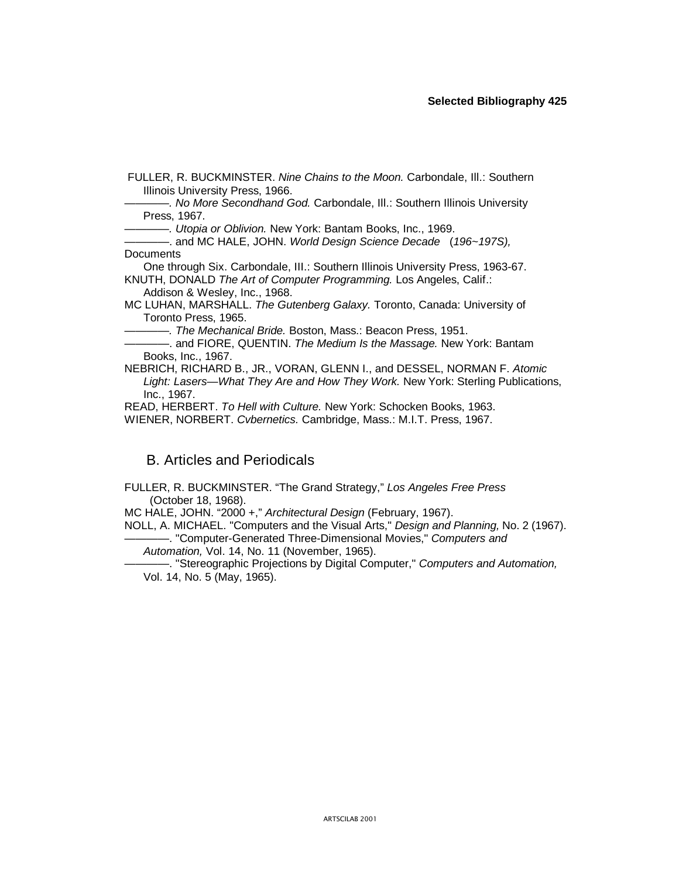FULLER, R. BUCKMINSTER. *Nine Chains to the Moon.* Carbondale, Ill.: Southern Illinois University Press, 1966.

———— *. No More Secondhand God.* Carbondale, Ill.: Southern Illinois University Press, 1967.

———— *. Utopia or Oblivion.* New York: Bantam Books, Inc., 1969.

———— . and MC HALE, JOHN. *World Design Science Decade* (*196~197S),*  **Documents** 

One through Six. Carbondale, III.: Southern Illinois University Press, 1963-67. KNUTH, DONALD *The Art of Computer Programming.* Los Angeles, Calif.:

Addison & Wesley, Inc., 1968.

MC LUHAN, MARSHALL. *The Gutenberg Galaxy.* Toronto, Canada: University of Toronto Press, 1965.

———— *. The Mechanical Bride.* Boston, Mass.: Beacon Press, 1951.

———— . and FIORE, QUENTIN. *The Medium Is the Massage.* New York: Bantam Books, Inc., 1967.

NEBRICH, RICHARD B., JR., VORAN, GLENN I., and DESSEL, NORMAN F. *Atomic Light: Lasers— What They Are and How They Work.* New York: Sterling Publications, Inc., 1967.

READ, HERBERT. *To Hell with Culture.* New York: Schocken Books, 1963.

WIENER, NORBERT. *Cvbernetics.* Cambridge, Mass.: M.I.T. Press, 1967.

## B. Articles and Periodicals

FULLER, R. BUCKMINSTER. "The Grand Strategy," *Los Angeles Free Press*  (October 18, 1968).

MC HALE, JOHN. "2000 +," *Architectural Design* (February, 1967).

NOLL, A. MICHAEL. "Computers and the Visual Arts," *Design and Planning,* No. 2 (1967).

———— . "Computer-Generated Three-Dimensional Movies," *Computers and Automation,* Vol. 14, No. 11 (November, 1965).

———— . "Stereographic Projections by Digital Computer," *Computers and Automation,*  Vol. 14, No. 5 (May, 1965).